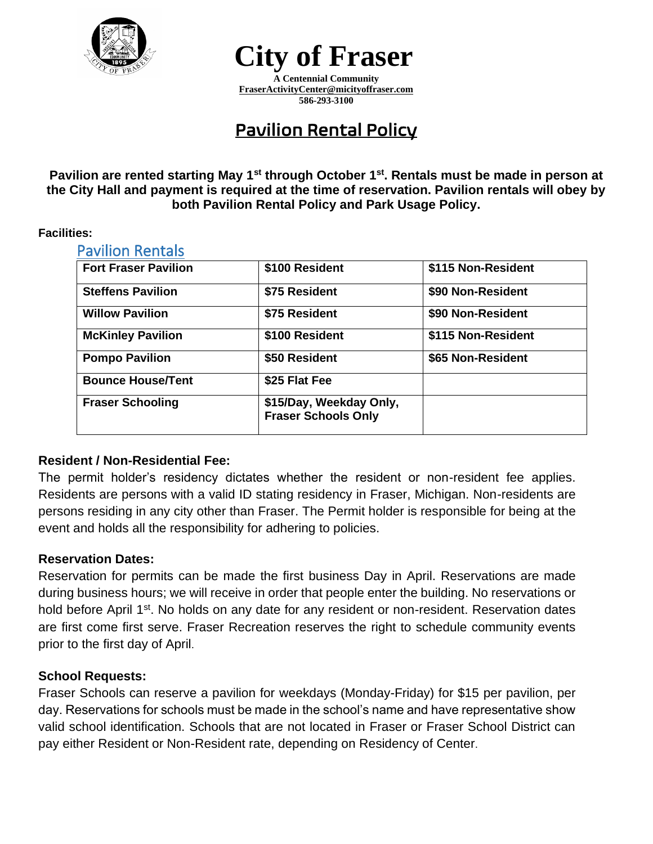

# **City of Fraser**

**A Centennial Community [FraserActivityCenter@micityoffraser.com](mailto:FraserActivityCenter@micityoffraser.com) 586-293-3100**

## Pavilion Rental Policy

**Pavilion are rented starting May 1st through October 1st. Rentals must be made in person at the City Hall and payment is required at the time of reservation. Pavilion rentals will obey by both Pavilion Rental Policy and Park Usage Policy.**

#### **Facilities:**

| <b>Pavilion Rentals</b>     |                                                       |                    |
|-----------------------------|-------------------------------------------------------|--------------------|
| <b>Fort Fraser Pavilion</b> | \$100 Resident                                        | \$115 Non-Resident |
| <b>Steffens Pavilion</b>    | \$75 Resident                                         | \$90 Non-Resident  |
| <b>Willow Pavilion</b>      | \$75 Resident                                         | \$90 Non-Resident  |
| <b>McKinley Pavilion</b>    | \$100 Resident                                        | \$115 Non-Resident |
| <b>Pompo Pavilion</b>       | \$50 Resident                                         | \$65 Non-Resident  |
| <b>Bounce House/Tent</b>    | \$25 Flat Fee                                         |                    |
| <b>Fraser Schooling</b>     | \$15/Day, Weekday Only,<br><b>Fraser Schools Only</b> |                    |

### **Resident / Non-Residential Fee:**

The permit holder's residency dictates whether the resident or non-resident fee applies. Residents are persons with a valid ID stating residency in Fraser, Michigan. Non-residents are persons residing in any city other than Fraser. The Permit holder is responsible for being at the event and holds all the responsibility for adhering to policies.

### **Reservation Dates:**

Reservation for permits can be made the first business Day in April. Reservations are made during business hours; we will receive in order that people enter the building. No reservations or hold before April 1<sup>st</sup>. No holds on any date for any resident or non-resident. Reservation dates are first come first serve. Fraser Recreation reserves the right to schedule community events prior to the first day of April.

### **School Requests:**

Fraser Schools can reserve a pavilion for weekdays (Monday-Friday) for \$15 per pavilion, per day. Reservations for schools must be made in the school's name and have representative show valid school identification. Schools that are not located in Fraser or Fraser School District can pay either Resident or Non-Resident rate, depending on Residency of Center.